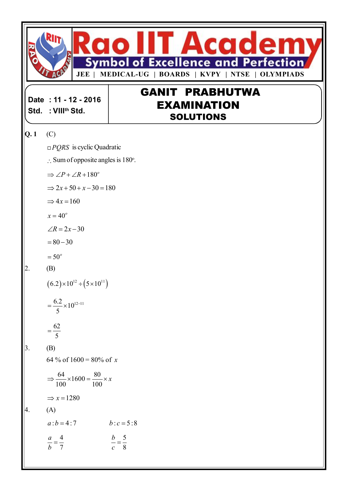

**Date : 11 - 12 - 2016 Std. : VIIIth Std.**

# **GANIT PRABHUTWA EXAMINATION SOLUTIONS**

## **Q. 1** (C)

*PQRS* is cyclic Quadratic

$$
\therefore
$$
 Sum of opposite angles is 180°.

$$
\Rightarrow \angle P + \angle R + 180^{\circ}
$$

$$
\Rightarrow 2x + 50 + x - 30 = 180
$$

$$
\Rightarrow 4x = 160
$$

$$
x=40^o
$$

$$
\angle R = 2x - 30
$$

$$
=80-30
$$

$$
=50^o
$$

$$
2. \qquad \text{(B)}
$$

$$
(6.2) \times 10^{12} \div (5 \times 10^{11})
$$

$$
=\frac{6.2}{5} \times 10^{12-11}
$$

$$
=\frac{62}{5}
$$

*b*

$$
3. \qquad \quad \text{(B)}
$$

$$
64\% \text{ of } 1600 = 80\% \text{ of } x
$$

$$
\Rightarrow \frac{64}{100} \times 1600 = \frac{80}{100} \times x
$$

$$
\Rightarrow x = 1280
$$

## $|4. (A)$

 $a : b = 4 : 7$   $b : c = 5 : 8$ 4 *a* 5 *b*  $=$ 

8

*c*

$$
= \frac{1}{7}
$$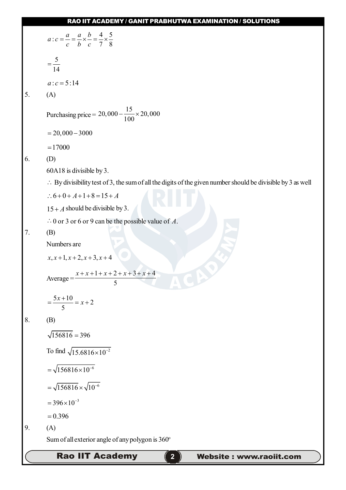|    | <b>Rao IIT Academy</b><br>$\overline{2}$<br><b>Website: www.raoiit.com</b>                                             |
|----|------------------------------------------------------------------------------------------------------------------------|
|    | Sum of all exterior angle of any polygon is 360°                                                                       |
| 9. | (A)                                                                                                                    |
|    | $= 0.396$                                                                                                              |
|    | $= 396 \times 10^{-3}$                                                                                                 |
|    | $=\sqrt{156816}\times\sqrt{10^{-6}}$                                                                                   |
|    | $=\sqrt{156816\times10^{-6}}$                                                                                          |
|    |                                                                                                                        |
|    | To find $\sqrt{15.6816 \times 10^{-2}}$                                                                                |
|    | $\sqrt{156816} = 396$                                                                                                  |
| 8. | (B)                                                                                                                    |
|    | $=\frac{5x+10}{5} = x+2$                                                                                               |
|    |                                                                                                                        |
|    | $x + x + 1 + x + 2 + x + 3 + x + 4$<br>$Average =$<br>5                                                                |
|    | $x, x+1, x+2, x+3, x+4$                                                                                                |
|    | Numbers are                                                                                                            |
| 7. | (B)                                                                                                                    |
|    | $\therefore$ 0 or 3 or 6 or 9 can be the possible value of A.                                                          |
|    | $15 + A$ should be divisible by 3.                                                                                     |
|    | $\therefore$ 6+0+A+1+8=15+A                                                                                            |
|    | $\therefore$ By divisibility test of 3, the sum of all the digits of the given number should be divisible by 3 as well |
|    | 60A18 is divisible by 3.                                                                                               |
| 6. | (D)                                                                                                                    |
|    | $= 17000$                                                                                                              |
|    | $= 20,000 - 3000$                                                                                                      |
|    | Purchasing price = $20,000 - \frac{15}{100} \times 20,000$                                                             |
| 5. | (A)                                                                                                                    |
|    | $a: c = 5:14$                                                                                                          |
|    | $=\frac{5}{14}$                                                                                                        |
|    |                                                                                                                        |
|    | $a: c = \frac{a}{c} = \frac{a}{b} \times \frac{b}{c} = \frac{4}{7} \times \frac{5}{8}$                                 |
|    |                                                                                                                        |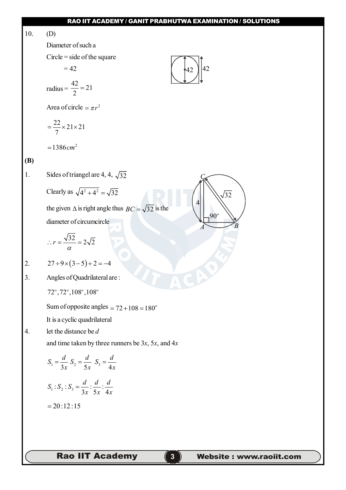10. (D)

Diameter of such a

Circle = side of the square

$$
=42
$$

$$
radius = \frac{42}{2} = 21
$$

Area of circle  $= \pi r^2$ 

$$
=\frac{22}{7}\times21\times21
$$

 $=1386$  *cm*<sup>2</sup>

## **(B)**

1. Sides of triangel are 4, 4,  $\sqrt{32}$ 

Clearly as 
$$
\sqrt{4^2 + 4^2} = \sqrt{32}
$$

the given  $\triangle$  is right angle thus  $BC = \sqrt{32}$  is the diameter of circumcircle

$$
\therefore r = \frac{\sqrt{32}}{\alpha} = 2\sqrt{2}
$$

2.  $27 \div 9 \times (3-5) + 2 = -4$ 

3. Angles of Quadrilateral are :

72 ,72 ,108 ,108 *o o o o*

Sum of opposite angles  $= 72 + 108 = 180^\circ$ 

It is a cyclic quadrilateral

4. let the distance be *d*

and time taken by three runners be 3*x*, 5*x*, and 4*x*

$$
S_1 = \frac{d}{3x} S_2 = \frac{d}{5x} S_3 = \frac{d}{4x}
$$
  

$$
S_1 : S_2 : S_3 = \frac{d}{3x} : \frac{d}{5x} : \frac{d}{4x}
$$
  
= 20:12:15

**Rao IIT Academy 6** 



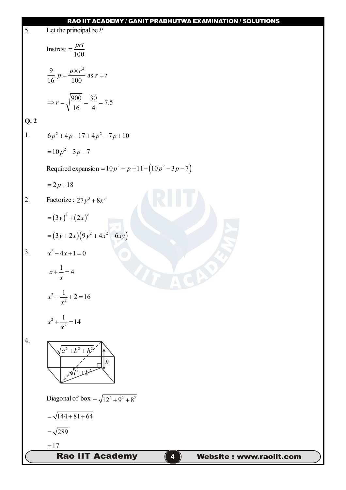|     | <b>RAO IIT ACADEMY / GANIT PRABHUTWA EXAMINATION / SOLUTIONS</b> |
|-----|------------------------------------------------------------------|
| 5.  | Let the principal be $P$                                         |
|     | Instrest = $\frac{prt}{100}$                                     |
|     | $\frac{9}{16}$ . $p = \frac{p \times r^2}{100}$ as $r = t$       |
|     | $\Rightarrow$ r = $\sqrt{\frac{900}{16}} = \frac{30}{4} = 7.5$   |
| Q.2 |                                                                  |
| 1.  | $6p^2+4p-17+4p^2-7p+10$                                          |
|     | $=10p^2-3p-7$                                                    |
|     | Required expansion = $10p^2 - p + 11 - (10p^2 - 3p - 7)$         |
|     | $= 2p + 18$                                                      |
| 2.  | Factorize: $27y^3 + 8x^3$                                        |
|     | $=(3y)^3+(2x)^3$                                                 |
|     | = $(3y+2x)(9y^2+4x^2-6xy)$                                       |
| 3.  | $x^2-4x+1=0$                                                     |
|     | $x + \frac{1}{2} = 4$<br>$\boldsymbol{\mathcal{X}}$              |
|     | $x^2 + \frac{1}{x^2} + 2 = 16$                                   |
|     | $x^2 + \frac{1}{x^2} = 14$                                       |
| 4.  | $\sqrt{a^2+b^2+h^2}$                                             |
|     | Diagonal of box = $\sqrt{12^2 + 9^2 + 8^2}$                      |
|     | $=\sqrt{144+81+64}$                                              |
|     | $=\sqrt{289}$                                                    |
|     | $=17$                                                            |
|     | <b>Rao IIT Academy</b><br>Website: www.raoiit.com                |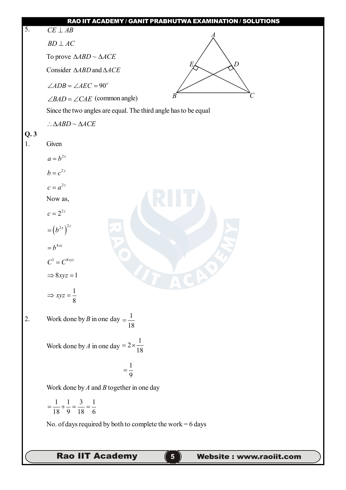| $\overline{5}$ . | RAO IIT ACADEMY / GANIT PRABHUTWA EXAMINATION / SOLUTIONS<br>$\overline{CE} \perp AB$ |
|------------------|---------------------------------------------------------------------------------------|
|                  | $BD \perp AC$                                                                         |
|                  |                                                                                       |
|                  | To prove $\triangle ABD \sim \triangle ACE$<br>D                                      |
|                  | Consider $\triangle ABD$ and $\triangle ACE$                                          |
|                  | $\angle ADB = \angle AEC = 90^\circ$<br>B                                             |
|                  | $\angle BAD = \angle CAE$ (common angle)                                              |
|                  | Since the two angles are equal. The third angle has to be equal                       |
| Q.3              | $\therefore \triangle ABD \sim \triangle ACE$                                         |
| 1.               | Given                                                                                 |
|                  | $a = b^{2x}$                                                                          |
|                  | $b=c^{2y}$                                                                            |
|                  | $c = a^{2z}$                                                                          |
|                  | Now as,                                                                               |
|                  | $c = 2^{2z}$                                                                          |
|                  | $=\left(b^{2x}\right)^{2z}$                                                           |
|                  |                                                                                       |
|                  | $= b^{4xz}$                                                                           |
|                  | $C^1=C^{8xyz}$                                                                        |
|                  | $\Rightarrow 8xyz = 1$                                                                |
|                  | $\Rightarrow xyz = \frac{1}{8}$                                                       |
|                  |                                                                                       |
| 2.               | Work done by B in one day $=\frac{1}{18}$                                             |
|                  |                                                                                       |
|                  | Work done by A in one day = $2 \times \frac{1}{18}$                                   |
|                  |                                                                                       |
|                  | $=\frac{1}{9}$                                                                        |
|                  | Work done by $A$ and $B$ together in one day                                          |
|                  | $=\frac{1}{18}+\frac{1}{9}=\frac{3}{18}=\frac{1}{6}$                                  |
|                  |                                                                                       |
|                  | No. of days required by both to complete the work = $6$ days                          |
|                  |                                                                                       |
|                  | <b>Rao IIT Academy</b><br>Website: www.raoiit.com                                     |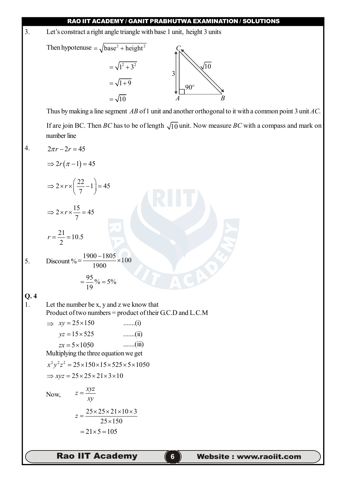**RAO IIT ACADEMY / GANIT PRABHUTWA EXAMINATION / SOLUTIONS Rao IIT Academy 66 Website : www.raoiit.com** 3. Let's constract a right angle triangle with base 1 unit, height 3 units Then hypotenuse  $=\sqrt{base^2 + height^2}$  $=\sqrt{1^2+3^2}$ *C A B*  $10$ 3 90  $=\sqrt{1+9}$  $=$   $\sqrt{10}$ Thus by making a line segment *AB* of 1 unit and another orthogonal to it with a common point 3 unit *AC*. If are join BC. Then *BC* has to be of length  $\sqrt{10}$  unit. Now measure *BC* with a compass and mark on number line 4.  $2\pi r - 2r = 45$  $\Rightarrow 2r(\pi-1) = 45$  $2 \times r \times \left( \frac{22}{7} - 1 \right) = 45$ 7  $\Rightarrow$  2 x r x  $\left(\frac{22}{7}-1\right)=4$  $2 \times r \times \frac{15}{7} = 45$ 7  $\Rightarrow$  2 x r  $\times \frac{15}{7}$  = 4  $\frac{21}{2}$  = 10.5 2  $r = \frac{24}{2} = 1$ 5. Discount % =  $\frac{1900 - 1805}{1000} \times 100$ 1900  $=\frac{1900-1805}{1000} \times 1$  $\frac{95}{10}\% = 5\%$ 19  $=\frac{38}{10}\% = \frac{6}{5}$ **Q. 4** 1. Let the number be x, y and z we know that Product of two numbers = product of their G.C.D and L.C.M  $\implies xy = 25 \times 150$  .......(i)  $yz = 15 \times 525$  .......(ii)  $zx = 5 \times 1050$  .......(iii) Multiplying the three equation we get  $x^2 y^2 z^2 = 25 \times 150 \times 15 \times 525 \times 5 \times 1050$  $\Rightarrow$  *xyz* = 25 × 25 × 21 × 3 × 10 Now,  $z = \frac{xyz}{2}$ *xy*  $=$  $25 \times 25 \times 21 \times 10 \times 3$  $25 \times 150$  $z = \frac{25 \times 25 \times 21 \times 10 \times 3}{25 \times 150}$  $\times$  $= 21 \times 5 = 105$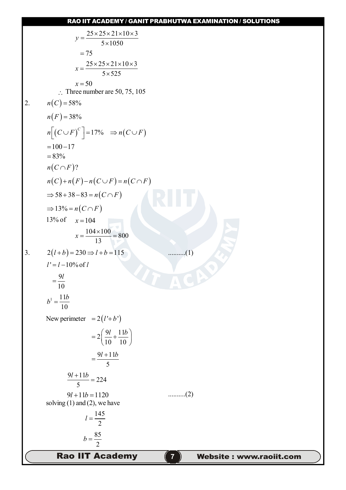y=
$$
\frac{25 \times 25 \times 21 \times 10 \times 3}{5 \times 1050}
$$
  
\t $=75$   
\t $x = \frac{25 \times 25 \times 21 \times 10 \times 3}{5 \times 525}$   
\t $x = 50$   
\t $\therefore$  Three number are 50, 75, 105  
2.  $n(C) = 58\%$   
\t $n(F) = 38\%$   
\t $n(F) = 38\%$   
\t $n(F) = 17\%$   $\Rightarrow n(C \cup F)$   
\t $= 100-17$   
\t $= 83\%$   
\t $n(C \cap F)$ ?  
\t $n(C) + n(F) - n(C \cup F) = n(C \cap F)$   
\t $\Rightarrow 33\%$   $\Rightarrow n(C \cap F)$   
\t $\Rightarrow 13\% = n(C \cap F)$   
\t $\Rightarrow 13\% = n(C \cap F)$   
\t $\Rightarrow 13\% = n(C \cap F)$   
\t $\Rightarrow 13\% = n(C \cap F)$   
\t $\Rightarrow 13\% = n(C \cap F)$   
\t $\Rightarrow 13\% = n(C \cap F)$   
\t $\Rightarrow 13\% = n(C \cap F)$   
\t $\Rightarrow 13\% = n(C \cap F)$   
\t $\Rightarrow 13\% = n(C \cap F)$   
\t $\Rightarrow 13\% = n(C \cap F)$   
\t $\Rightarrow 13\% = n(C \cap F)$   
\t $\Rightarrow 13\% = n(C \cap F)$   
\t $\Rightarrow 13\% = 16$   
\t $\frac{104 \times 100}{13} = 800$   
\t $\frac{104}{110} + \frac{11b}{10}$   
\t $\frac{P}{2} = \frac{11b}{10}$   
\t $\Rightarrow 2(1 + \frac{11b}{10})$   
\t $\Rightarrow \frac{9/1 + 11b}{5} = 224$   
\t $\Rightarrow \frac{9/1 + 11b}{5} = 224$   
\t $\Rightarrow \frac{9/1 + 11b}{5} =$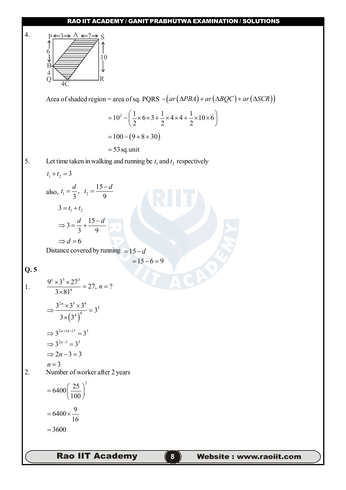

**Rao IIT Academy 88 Website : www.raoiit.com**